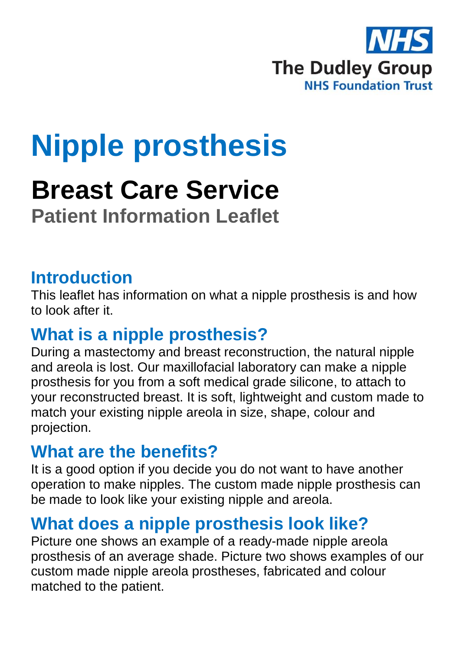

# **Nipple prosthesis**

## **Breast Care Service**

**Patient Information Leaflet**

#### **Introduction**

This leaflet has information on what a nipple prosthesis is and how to look after it.

#### **What is a nipple prosthesis?**

During a mastectomy and breast reconstruction, the natural nipple and areola is lost. Our maxillofacial laboratory can make a nipple prosthesis for you from a soft medical grade silicone, to attach to your reconstructed breast. It is soft, lightweight and custom made to match your existing nipple areola in size, shape, colour and projection.

#### **What are the benefits?**

It is a good option if you decide you do not want to have another operation to make nipples. The custom made nipple prosthesis can be made to look like your existing nipple and areola.

#### **What does a nipple prosthesis look like?**

Picture one shows an example of a ready-made nipple areola prosthesis of an average shade. Picture two shows examples of our custom made nipple areola prostheses, fabricated and colour matched to the patient.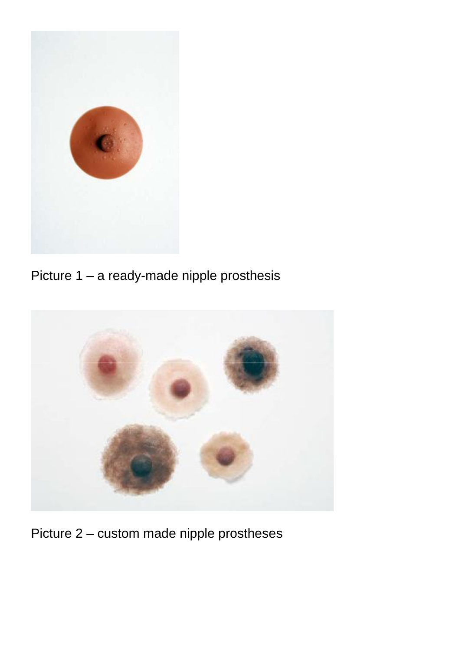

Picture 1 – a ready-made nipple prosthesis



Picture 2 – custom made nipple prostheses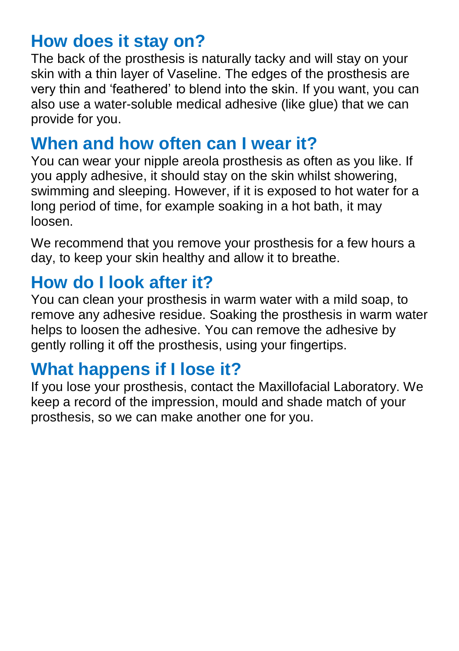#### **How does it stay on?**

The back of the prosthesis is naturally tacky and will stay on your skin with a thin layer of Vaseline. The edges of the prosthesis are very thin and 'feathered' to blend into the skin. If you want, you can also use a water-soluble medical adhesive (like glue) that we can provide for you.

### **When and how often can I wear it?**

You can wear your nipple areola prosthesis as often as you like. If you apply adhesive, it should stay on the skin whilst showering, swimming and sleeping. However, if it is exposed to hot water for a long period of time, for example soaking in a hot bath, it may loosen.

We recommend that you remove your prosthesis for a few hours a day, to keep your skin healthy and allow it to breathe.

### **How do I look after it?**

You can clean your prosthesis in warm water with a mild soap, to remove any adhesive residue. Soaking the prosthesis in warm water helps to loosen the adhesive. You can remove the adhesive by gently rolling it off the prosthesis, using your fingertips.

#### **What happens if I lose it?**

If you lose your prosthesis, contact the Maxillofacial Laboratory. We keep a record of the impression, mould and shade match of your prosthesis, so we can make another one for you.